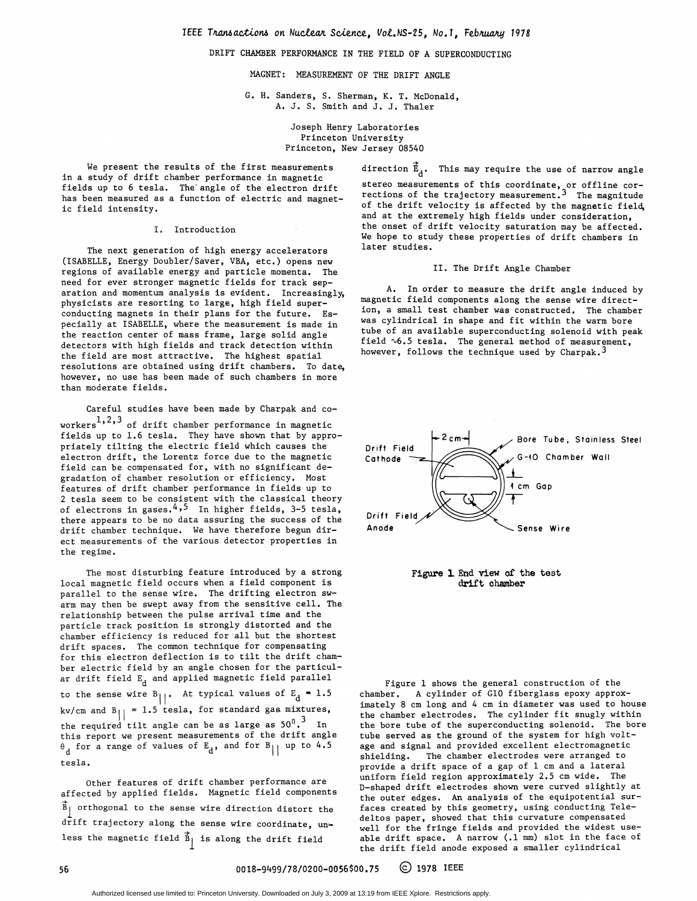## DRIFT CHAMBER PERFORMANCE IN THE FIELD OF A SUPERCONDUCTING

MAGNET: MEASUREMENT OF THE DRIFT ANGLE

G. H. Sanders, S. Sherman, K. T. McDonald, A. J. S. Smith and J. J. Thaler

> Joseph Henry Laboratories Princeton University Princeton, New Jersey 08540

We present the results of the first measurements in a study of drift chamber performance in magnetic fields up to 6 tesla. The angle of the electron drift has been measured as a function of electric and magnetic field intensity.

#### I. Introduction

The next generation of high energy accelerators (ISABELLE, Energy Doubler/Saver, VBA, etc.) opens new regions of available energy and particle momenta. The need for ever stronger magnetic fields for track separation and momentum analysis is evident. Increasingly, physicists are resorting to large, high field superconducting magnets in their plans for the future. Especially at ISABELLE, where the measurement is made in the reaction center of mass frame, large solid angle detectors with high fields and track detection within the field are most attractive. The highest spatial resolutions are obtained using drift chambers. To date, however, no use has been made of such chambers in more than moderate fields.

Careful studies have been made by Charpak and coworkers $^{1,2,3}$  of drift chamber performance in magnetic fields up to 1.6 tesla. They have shown that by appropriately tilting the electric field which causes the electron drift, the Lorentz force due to the magnetic field can be compensated for, with no significant degradation of chamber resolution or efficiency. Most features of drift chamber performance in fields up to <sup>2</sup> tesla seem to be consistent with the classical theory of electrons in gases.<sup>4,5</sup> In higher fields, 3-5 tesla, there appears to be no data assuring the success of the drift chamber technique. We have therefore begun direct measurements of the various detector properties in the regime.

The most disturbing feature introduced by a strong local magnetic field occurs when a field component is parallel to the sense wire. The drifting electron swarm may then be swept away from the sensitive cell. The relationship between the pulse arrival time and the particle track position is strongly distorted and the chamber efficiency is reduced for all but the shortest drift spaces. The common technique for compensating for this electron deflection is to tilt the drift chamber electric field by an angle chosen for the particular drift field  $E_d$  and applied magnetic field parallel to the sense wire B<sub>||</sub>. At typical values of E<sub>d</sub>  $\approx$  1.5 kv/cm and  $B_{||} = 1.5$  tesla, for standard gas mixtures, the required tilt angle can be as large as  $50^0. \stackrel{3}{\phantom{1}5}$  In this report we present measurements of the drift angle  $\theta_{\rm d}$  for a range of values of  $\texttt{E}_{\rm d}$ , and for  $\texttt{B}_{\rm |\parallel}$  up to 4.5 tesla.

Other features of drift chamber performance are affected by applied fields. Magnetic field components  $\overline{B}_1$  orthogonal to the sense wire direction distort the drift trajectory along the sense wire coordinate, unless the magnetic field  $\vec{B}_{\parallel}$  is along the drift field

direction  $\vec{E}_d$ . This may require the use of narrow angle stereo measurements of this coordinate, or offline corrections of the trajectory measurement.<sup>3</sup> The magnitude of the drift velocity is affected by the magnetic field, and at the extremely high fields under consideration, the onset of drift velocity saturation may be affected. We hope to study these properties of drift chambers in later studies.

### II. The Drift Angle Chamber

A. In order to measure the drift angle induced by magnetic field components along the sense wire direction, a small test chamber was constructed. The chamber was cylindrical in shape and fit within the warm bore tube of an available superconducting solenoid with peak field  $\sqrt{6.5}$  tesla. The general method of measurement, however, follows the technique used by Charpak.<sup>3</sup>





Figure <sup>1</sup> shows the general construction of the chamber. A cylinder of G10 fiberglass epoxy approximately <sup>8</sup> cm long and <sup>4</sup> cm in diameter was used to house the chamber electrodes. The cylinder fit snugly within the bore tube of the superconducting solenoid. The bore tube served as the ground of the system for high voltage and signal and provided excellent electromagnetic shielding. The chamber electrodes were arranged to provide <sup>a</sup> drift space of a gap of <sup>1</sup> cm and a lateral uniform field region approximately 2.5 cm wide. The D-shaped drift electrodes shown were curved slightly at the outer edges. An analysis of the equipotential surfaces created by this geometry, using conducting Teledeltos paper, showed that this curvature compensated well for the fringe fields and provided the widest useable drift space. A narrow (.1 mm) slot in the face of the drift field anode exposed a smaller cylindrical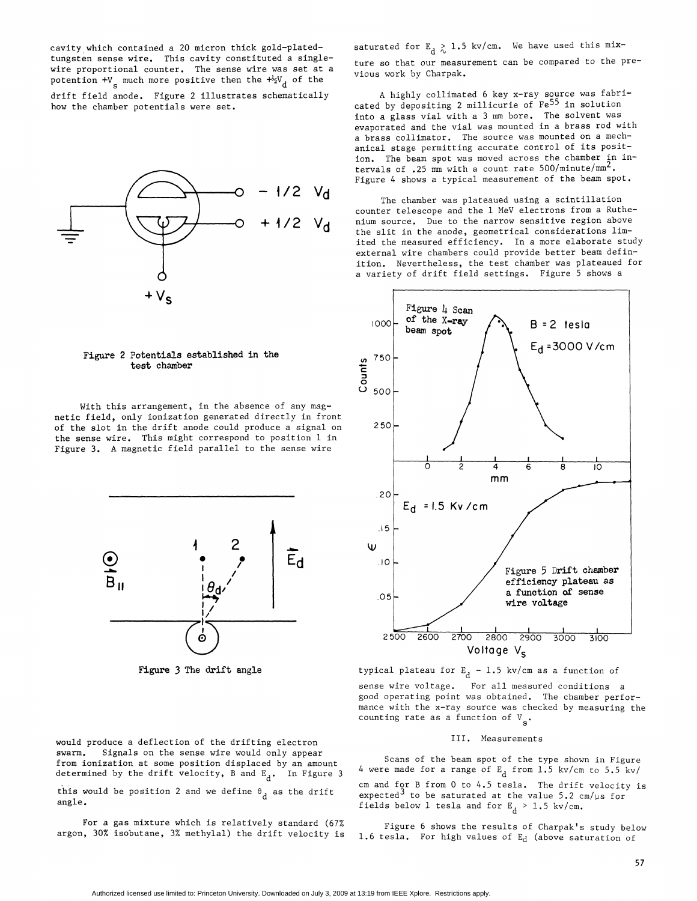cavity which contained a 20 micron thick gold-platedtungsten sense wire. This cavity constituted a singlewire proportional counter. The sense wire was set at a potention +V<sub>g</sub> much more positive then the  $+{1\over2}V_{\rm d}$  of the drift field anode. Figure 2 illustrates schematically

how the chamber potentials were set.



### Figure 2 Potentials established in the test chamber

With this arrangement, in the absence of any magnetic field, only ionization generated directly in front of the slot in the drift anode could produce a signal on the sense wire. This might correspond to position <sup>1</sup> in Figure 3. A magnetic field parallel to the sense wire



Figure 3 The drift angle

saturated for  $E_d \gtrsim 1.5$  kv/cm. We have used this mix-

ture so that our measurement can be compared to the previous work by Charpak.

A highly collimated <sup>6</sup> key x-ray source was fabricated by depositing <sup>2</sup> millicurie of Fe55 in solution into a glass vial with a <sup>3</sup> mm bore. The solvent was evaporated and the vial was mounted in a brass rod with a brass collimator. The source was mounted on a mechanical stage permitting accurate control of its position. The beam spot was moved across the chamber in intervals of .25 mm with a count rate  $500/minute/mm<sup>2</sup>$ . Figure <sup>4</sup> shows a typical measurement of the beam spot.

The chamber was plateaued using a scintillation counter telescope and the <sup>1</sup> MeV electrons from a Ruthe- + 1/2 V<sub>d</sub> nium source, Due to the narrow sensitive region above the slit in the anode, geometrical considerations limited the measured efficiency. In a more elaborate study external wire chambers could provide better beam definition. Nevertheless, the test chamber was plateaued for a variety of drift field settings. Figure <sup>5</sup> shows a



typical plateau for  $\textbf{E}_{\text{d}}$  – 1.5 kv/cm as a function of

sense wire voltage. For all measured conditions a good operating point was obtained. The chamber performance with the x-ray source was checked by measuring the counting rate as a function of  $V_{\rm g}$ .

#### III. Measurements

Scans of the beam spot of the type shown in Figure 4 were made for a range of  $E_d$  from 1.5 kv/cm to 5.5 kv/ cm and for B from 0 to 4.5 tesla. The drift velocity is expected<sup>3</sup> to be saturated at the value  $5.2 \text{ cm}/\mu\text{s}$  for fields below 1 tesla and for  $E_d > 1.5$  kv/cm.

Figure 6 shows the results of Charpak's study below 1.6 tesla. For high values of  $E_d$  (above saturation of

would produce a deflection of the drifting electron swarm. Signals on the sense wire would only appear from ionization at some position displaced by an amount determined by the drift velocity, B and  $E_d$ . In Figure 3 this would be position 2 and we define  $\theta_d$  as the drift angle.

For a gas mixture which is relatively standard (67% argon, 30% isobutane, 3% methylal) the drift velocity is